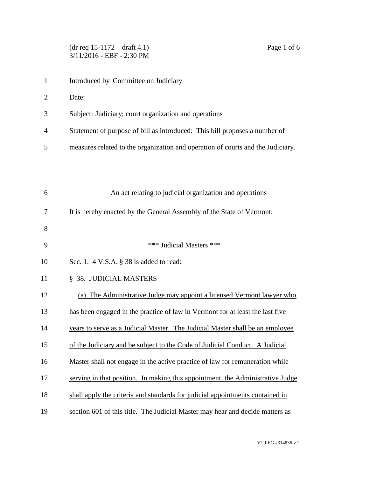## (dr req 15-1172 – draft 4.1) Page 1 of 6 3/11/2016 - EBF - 2:30 PM

- Date:
- Subject: Judiciary; court organization and operations
- Statement of purpose of bill as introduced: This bill proposes a number of
- measures related to the organization and operation of courts and the Judiciary.

| 6  | An act relating to judicial organization and operations                        |
|----|--------------------------------------------------------------------------------|
| 7  | It is hereby enacted by the General Assembly of the State of Vermont:          |
| 8  |                                                                                |
| 9  | *** Judicial Masters ***                                                       |
| 10 | Sec. 1. $4$ V.S.A. $\S$ 38 is added to read:                                   |
| 11 | § 38. JUDICIAL MASTERS                                                         |
| 12 | (a) The Administrative Judge may appoint a licensed Vermont lawyer who         |
| 13 | has been engaged in the practice of law in Vermont for at least the last five  |
| 14 | years to serve as a Judicial Master. The Judicial Master shall be an employee  |
| 15 | of the Judiciary and be subject to the Code of Judicial Conduct. A Judicial    |
| 16 | Master shall not engage in the active practice of law for remuneration while   |
| 17 | serving in that position. In making this appointment, the Administrative Judge |
| 18 | shall apply the criteria and standards for judicial appointments contained in  |
| 19 | section 601 of this title. The Judicial Master may hear and decide matters as  |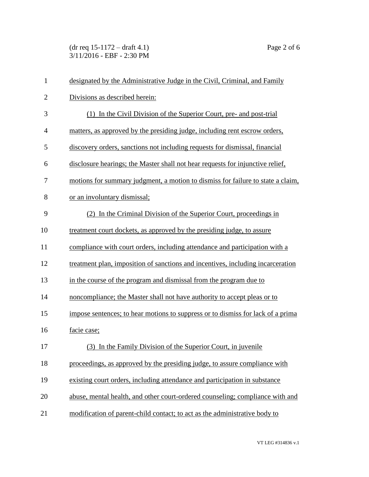(dr req 15-1172 – draft 4.1) Page 2 of 6 3/11/2016 - EBF - 2:30 PM

| $\mathbf{1}$   | designated by the Administrative Judge in the Civil, Criminal, and Family       |
|----------------|---------------------------------------------------------------------------------|
| $\overline{2}$ | Divisions as described herein:                                                  |
| 3              | (1) In the Civil Division of the Superior Court, pre- and post-trial            |
| $\overline{4}$ | matters, as approved by the presiding judge, including rent escrow orders,      |
| 5              | discovery orders, sanctions not including requests for dismissal, financial     |
| 6              | disclosure hearings; the Master shall not hear requests for injunctive relief,  |
| 7              | motions for summary judgment, a motion to dismiss for failure to state a claim, |
| 8              | or an involuntary dismissal;                                                    |
| 9              | (2) In the Criminal Division of the Superior Court, proceedings in              |
| 10             | treatment court dockets, as approved by the presiding judge, to assure          |
| 11             | compliance with court orders, including attendance and participation with a     |
| 12             | treatment plan, imposition of sanctions and incentives, including incarceration |
| 13             | in the course of the program and dismissal from the program due to              |
| 14             | noncompliance; the Master shall not have authority to accept pleas or to        |
| 15             | impose sentences; to hear motions to suppress or to dismiss for lack of a prima |
| 16             | facie case;                                                                     |
| $17\,$         | (3) In the Family Division of the Superior Court, in juvenile                   |
| 18             | proceedings, as approved by the presiding judge, to assure compliance with      |
| 19             | existing court orders, including attendance and participation in substance      |
| 20             | abuse, mental health, and other court-ordered counseling; compliance with and   |
| 21             | modification of parent-child contact; to act as the administrative body to      |

VT LEG #314836 v.1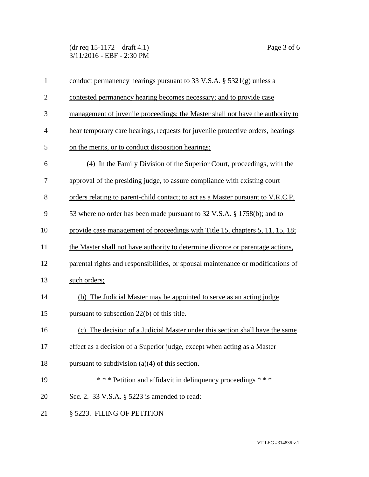(dr req 15-1172 – draft 4.1) Page 3 of 6 3/11/2016 - EBF - 2:30 PM

| $\mathbf{1}$   | conduct permanency hearings pursuant to 33 V.S.A. $\S$ 5321(g) unless a          |
|----------------|----------------------------------------------------------------------------------|
| $\overline{2}$ | contested permanency hearing becomes necessary; and to provide case              |
| 3              | management of juvenile proceedings; the Master shall not have the authority to   |
| $\overline{4}$ | hear temporary care hearings, requests for juvenile protective orders, hearings  |
| 5              | on the merits, or to conduct disposition hearings;                               |
| 6              | (4) In the Family Division of the Superior Court, proceedings, with the          |
| 7              | approval of the presiding judge, to assure compliance with existing court        |
| 8              | orders relating to parent-child contact; to act as a Master pursuant to V.R.C.P. |
| 9              | 53 where no order has been made pursuant to 32 V.S.A. § 1758(b); and to          |
| 10             | provide case management of proceedings with Title 15, chapters 5, 11, 15, 18;    |
| 11             | the Master shall not have authority to determine divorce or parentage actions,   |
| 12             | parental rights and responsibilities, or spousal maintenance or modifications of |
| 13             | such orders;                                                                     |
| 14             | (b) The Judicial Master may be appointed to serve as an acting judge             |
| 15             | pursuant to subsection 22(b) of this title.                                      |
| 16             | The decision of a Judicial Master under this section shall have the same<br>(c)  |
| 17             | effect as a decision of a Superior judge, except when acting as a Master         |
| 18             | pursuant to subdivision $(a)(4)$ of this section.                                |
| 19             | *** Petition and affidavit in delinquency proceedings ***                        |
| 20             | Sec. 2. 33 V.S.A. § 5223 is amended to read:                                     |
| 21             | § 5223. FILING OF PETITION                                                       |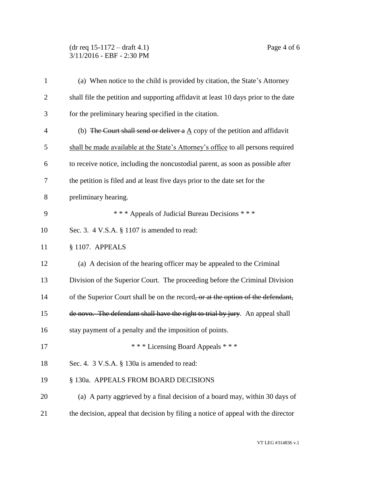## (dr req 15-1172 – draft 4.1) Page 4 of 6 3/11/2016 - EBF - 2:30 PM

| $\mathbf{1}$   | (a) When notice to the child is provided by citation, the State's Attorney               |
|----------------|------------------------------------------------------------------------------------------|
| $\overline{2}$ | shall file the petition and supporting affidavit at least 10 days prior to the date      |
| 3              | for the preliminary hearing specified in the citation.                                   |
| $\overline{4}$ | (b) The Court shall send or deliver a $\underline{A}$ copy of the petition and affidavit |
| 5              | shall be made available at the State's Attorney's office to all persons required         |
| 6              | to receive notice, including the noncustodial parent, as soon as possible after          |
| 7              | the petition is filed and at least five days prior to the date set for the               |
| 8              | preliminary hearing.                                                                     |
| 9              | *** Appeals of Judicial Bureau Decisions ***                                             |
| 10             | Sec. 3. 4 V.S.A. § 1107 is amended to read:                                              |
| 11             | § 1107. APPEALS                                                                          |
| 12             | (a) A decision of the hearing officer may be appealed to the Criminal                    |
| 13             | Division of the Superior Court. The proceeding before the Criminal Division              |
| 14             | of the Superior Court shall be on the record, or at the option of the defendant,         |
| 15             | de novo. The defendant shall have the right to trial by jury. An appeal shall            |
| 16             | stay payment of a penalty and the imposition of points.                                  |
| 17             | *** Licensing Board Appeals ***                                                          |
| 18             | Sec. 4. 3 V.S.A. § 130a is amended to read:                                              |
| 19             | § 130a. APPEALS FROM BOARD DECISIONS                                                     |
| 20             | (a) A party aggrieved by a final decision of a board may, within 30 days of              |
| 21             | the decision, appeal that decision by filing a notice of appeal with the director        |
|                |                                                                                          |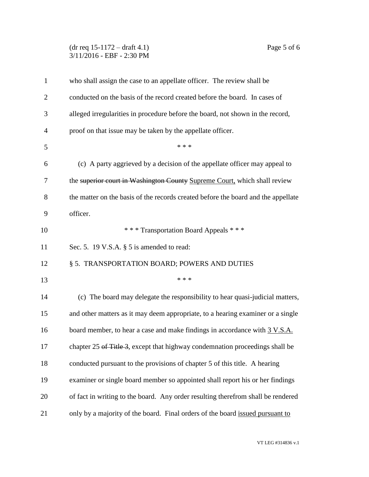## (dr req 15-1172 – draft 4.1) Page 5 of 6 3/11/2016 - EBF - 2:30 PM

| $\mathbf{1}$   | who shall assign the case to an appellate officer. The review shall be            |
|----------------|-----------------------------------------------------------------------------------|
| $\overline{2}$ | conducted on the basis of the record created before the board. In cases of        |
| 3              | alleged irregularities in procedure before the board, not shown in the record,    |
| $\overline{4}$ | proof on that issue may be taken by the appellate officer.                        |
| 5              | * * *                                                                             |
| 6              | (c) A party aggrieved by a decision of the appellate officer may appeal to        |
| 7              | the superior court in Washington County Supreme Court, which shall review         |
| 8              | the matter on the basis of the records created before the board and the appellate |
| 9              | officer.                                                                          |
| 10             | *** Transportation Board Appeals ***                                              |
| 11             | Sec. 5. 19 V.S.A. $\S$ 5 is amended to read:                                      |
| 12             | § 5. TRANSPORTATION BOARD; POWERS AND DUTIES                                      |
| 13             | * * *                                                                             |
| 14             | (c) The board may delegate the responsibility to hear quasi-judicial matters,     |
| 15             | and other matters as it may deem appropriate, to a hearing examiner or a single   |
| 16             | board member, to hear a case and make findings in accordance with 3 V.S.A.        |
| 17             | chapter 25 of Title 3, except that highway condemnation proceedings shall be      |
| 18             | conducted pursuant to the provisions of chapter 5 of this title. A hearing        |
| 19             | examiner or single board member so appointed shall report his or her findings     |
| 20             | of fact in writing to the board. Any order resulting therefrom shall be rendered  |
| 21             | only by a majority of the board. Final orders of the board issued pursuant to     |